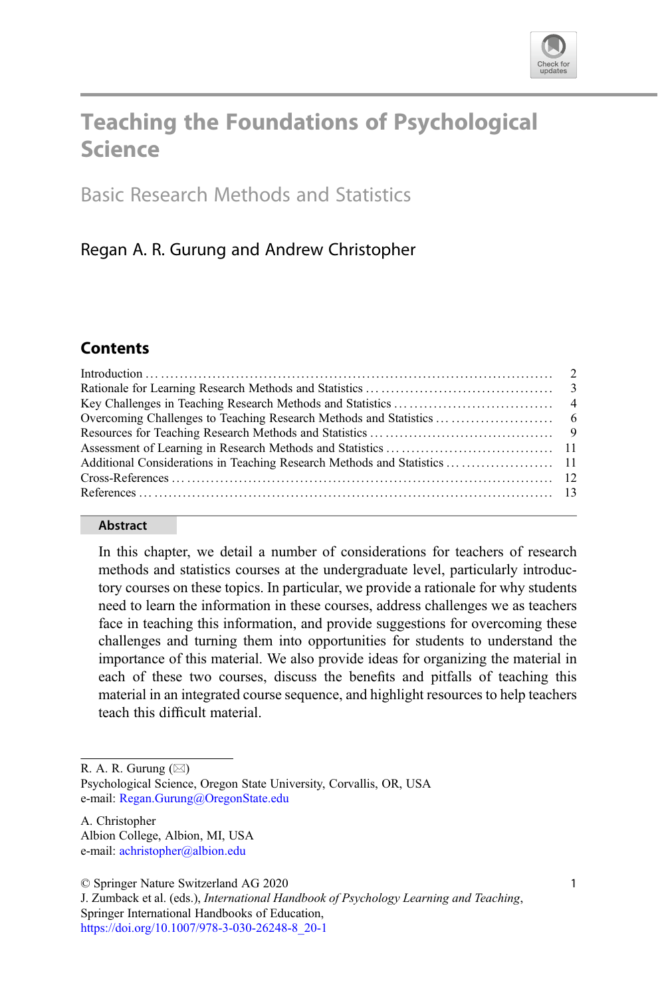

# Teaching the Foundations of Psychological Science

Basic Research Methods and Statistics

# Regan A. R. Gurung and Andrew Christopher

# **Contents**

#### Abstract

In this chapter, we detail a number of considerations for teachers of research methods and statistics courses at the undergraduate level, particularly introductory courses on these topics. In particular, we provide a rationale for why students need to learn the information in these courses, address challenges we as teachers face in teaching this information, and provide suggestions for overcoming these challenges and turning them into opportunities for students to understand the importance of this material. We also provide ideas for organizing the material in each of these two courses, discuss the benefits and pitfalls of teaching this material in an integrated course sequence, and highlight resources to help teachers teach this difficult material.

R. A. R. Gurung  $(\boxtimes)$ 

Psychological Science, Oregon State University, Corvallis, OR, USA e-mail: [Regan.Gurung@OregonState.edu](mailto:Regan.Gurung@OregonState.edu)

A. Christopher Albion College, Albion, MI, USA e-mail: [achristopher@albion.edu](mailto:achristopher@albion.edu)

© Springer Nature Switzerland AG 2020

J. Zumback et al. (eds.), International Handbook of Psychology Learning and Teaching, Springer International Handbooks of Education, [https://doi.org/10.1007/978-3-030-26248-8\\_20-1](https://doi.org/10.1007/978-3-030-26248-8_20-1)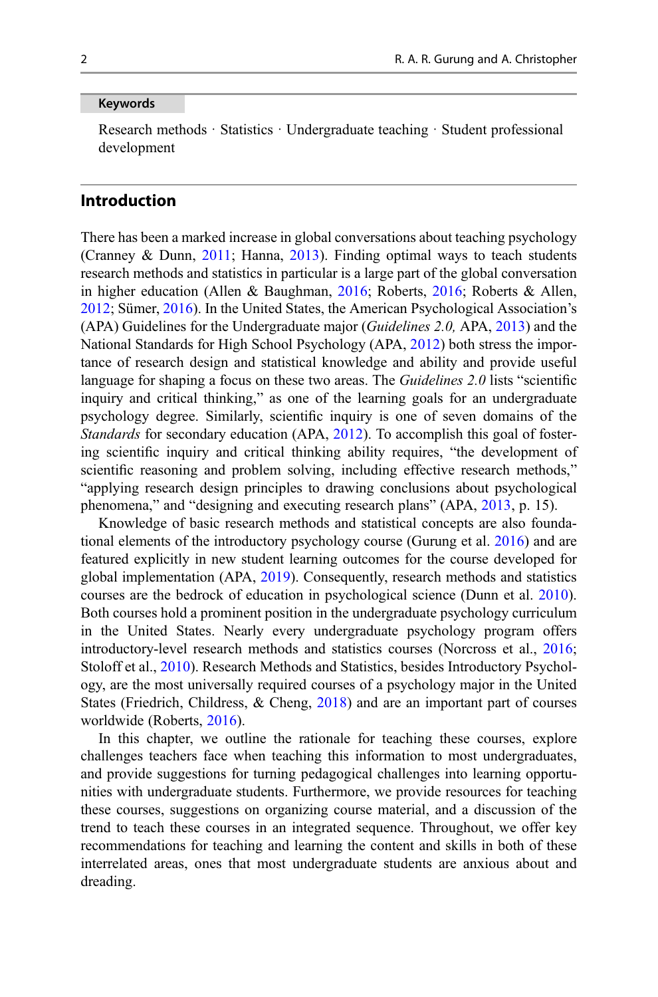#### Keywords

Research methods · Statistics · Undergraduate teaching · Student professional development

## Introduction

There has been a marked increase in global conversations about teaching psychology (Cranney & Dunn, [2011;](#page-12-0) Hanna, [2013\)](#page-13-0). Finding optimal ways to teach students research methods and statistics in particular is a large part of the global conversation in higher education (Allen & Baughman, [2016;](#page-12-0) Roberts, [2016;](#page-14-0) Roberts & Allen, [2012;](#page-14-0) Sümer, [2016\)](#page-14-0). In the United States, the American Psychological Association's (APA) Guidelines for the Undergraduate major (Guidelines 2.0, APA, [2013](#page-12-0)) and the National Standards for High School Psychology (APA, [2012](#page-12-0)) both stress the importance of research design and statistical knowledge and ability and provide useful language for shaping a focus on these two areas. The *Guidelines 2.0* lists "scientific inquiry and critical thinking," as one of the learning goals for an undergraduate psychology degree. Similarly, scientific inquiry is one of seven domains of the Standards for secondary education (APA, [2012\)](#page-12-0). To accomplish this goal of fostering scientific inquiry and critical thinking ability requires, "the development of scientific reasoning and problem solving, including effective research methods," "applying research design principles to drawing conclusions about psychological phenomena," and "designing and executing research plans" (APA, [2013,](#page-12-0) p. 15).

Knowledge of basic research methods and statistical concepts are also foundational elements of the introductory psychology course (Gurung et al. [2016](#page-13-0)) and are featured explicitly in new student learning outcomes for the course developed for global implementation (APA, [2019](#page-12-0)). Consequently, research methods and statistics courses are the bedrock of education in psychological science (Dunn et al. [2010\)](#page-12-0). Both courses hold a prominent position in the undergraduate psychology curriculum in the United States. Nearly every undergraduate psychology program offers introductory-level research methods and statistics courses (Norcross et al., [2016;](#page-14-0) Stoloff et al., [2010](#page-14-0)). Research Methods and Statistics, besides Introductory Psychology, are the most universally required courses of a psychology major in the United States (Friedrich, Childress, & Cheng, [2018\)](#page-13-0) and are an important part of courses worldwide (Roberts, [2016](#page-14-0)).

In this chapter, we outline the rationale for teaching these courses, explore challenges teachers face when teaching this information to most undergraduates, and provide suggestions for turning pedagogical challenges into learning opportunities with undergraduate students. Furthermore, we provide resources for teaching these courses, suggestions on organizing course material, and a discussion of the trend to teach these courses in an integrated sequence. Throughout, we offer key recommendations for teaching and learning the content and skills in both of these interrelated areas, ones that most undergraduate students are anxious about and dreading.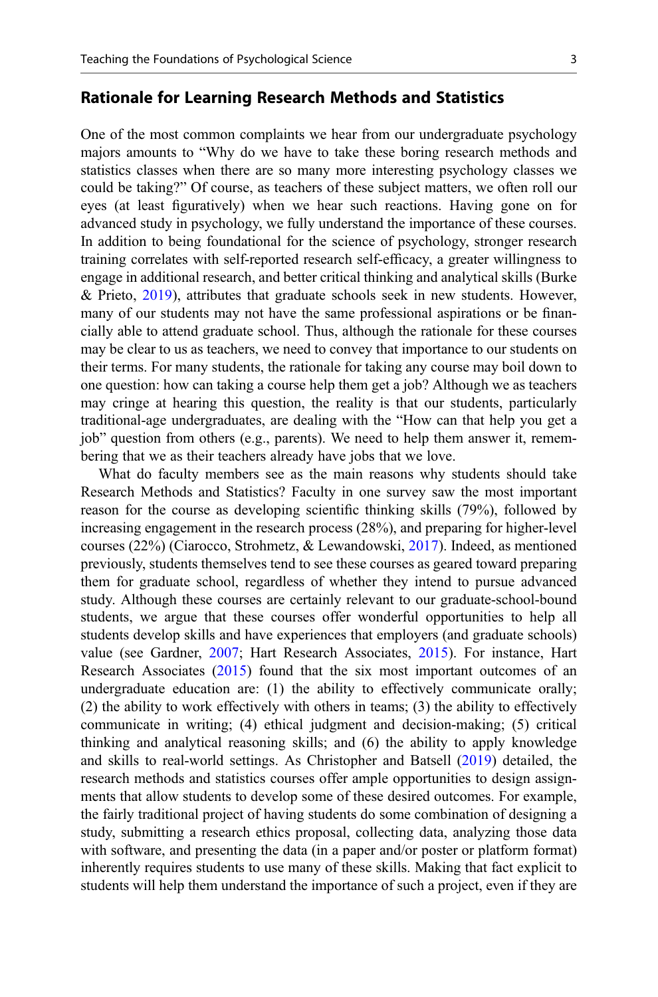#### Rationale for Learning Research Methods and Statistics

One of the most common complaints we hear from our undergraduate psychology majors amounts to "Why do we have to take these boring research methods and statistics classes when there are so many more interesting psychology classes we could be taking?" Of course, as teachers of these subject matters, we often roll our eyes (at least figuratively) when we hear such reactions. Having gone on for advanced study in psychology, we fully understand the importance of these courses. In addition to being foundational for the science of psychology, stronger research training correlates with self-reported research self-efficacy, a greater willingness to engage in additional research, and better critical thinking and analytical skills (Burke & Prieto, [2019](#page-12-0)), attributes that graduate schools seek in new students. However, many of our students may not have the same professional aspirations or be financially able to attend graduate school. Thus, although the rationale for these courses may be clear to us as teachers, we need to convey that importance to our students on their terms. For many students, the rationale for taking any course may boil down to one question: how can taking a course help them get a job? Although we as teachers may cringe at hearing this question, the reality is that our students, particularly traditional-age undergraduates, are dealing with the "How can that help you get a job" question from others (e.g., parents). We need to help them answer it, remembering that we as their teachers already have jobs that we love.

What do faculty members see as the main reasons why students should take Research Methods and Statistics? Faculty in one survey saw the most important reason for the course as developing scientific thinking skills (79%), followed by increasing engagement in the research process (28%), and preparing for higher-level courses (22%) (Ciarocco, Strohmetz, & Lewandowski, [2017](#page-12-0)). Indeed, as mentioned previously, students themselves tend to see these courses as geared toward preparing them for graduate school, regardless of whether they intend to pursue advanced study. Although these courses are certainly relevant to our graduate-school-bound students, we argue that these courses offer wonderful opportunities to help all students develop skills and have experiences that employers (and graduate schools) value (see Gardner, [2007;](#page-13-0) Hart Research Associates, [2015\)](#page-13-0). For instance, Hart Research Associates ([2015\)](#page-13-0) found that the six most important outcomes of an undergraduate education are: (1) the ability to effectively communicate orally; (2) the ability to work effectively with others in teams; (3) the ability to effectively communicate in writing; (4) ethical judgment and decision-making; (5) critical thinking and analytical reasoning skills; and (6) the ability to apply knowledge and skills to real-world settings. As Christopher and Batsell ([2019\)](#page-12-0) detailed, the research methods and statistics courses offer ample opportunities to design assignments that allow students to develop some of these desired outcomes. For example, the fairly traditional project of having students do some combination of designing a study, submitting a research ethics proposal, collecting data, analyzing those data with software, and presenting the data (in a paper and/or poster or platform format) inherently requires students to use many of these skills. Making that fact explicit to students will help them understand the importance of such a project, even if they are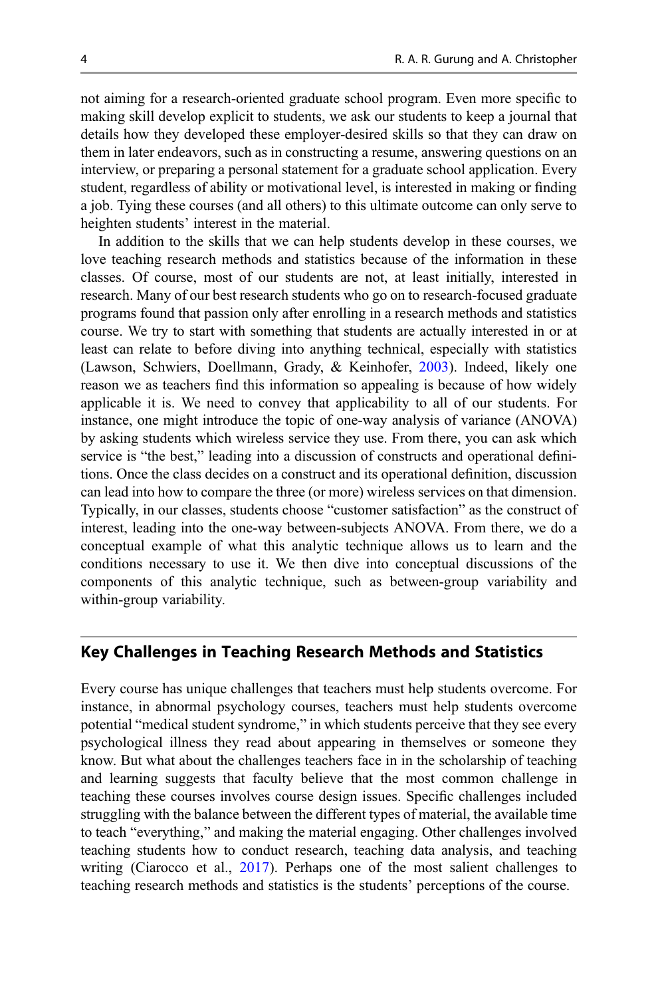not aiming for a research-oriented graduate school program. Even more specific to making skill develop explicit to students, we ask our students to keep a journal that details how they developed these employer-desired skills so that they can draw on them in later endeavors, such as in constructing a resume, answering questions on an interview, or preparing a personal statement for a graduate school application. Every student, regardless of ability or motivational level, is interested in making or finding a job. Tying these courses (and all others) to this ultimate outcome can only serve to heighten students' interest in the material.

In addition to the skills that we can help students develop in these courses, we love teaching research methods and statistics because of the information in these classes. Of course, most of our students are not, at least initially, interested in research. Many of our best research students who go on to research-focused graduate programs found that passion only after enrolling in a research methods and statistics course. We try to start with something that students are actually interested in or at least can relate to before diving into anything technical, especially with statistics (Lawson, Schwiers, Doellmann, Grady, & Keinhofer, [2003\)](#page-13-0). Indeed, likely one reason we as teachers find this information so appealing is because of how widely applicable it is. We need to convey that applicability to all of our students. For instance, one might introduce the topic of one-way analysis of variance (ANOVA) by asking students which wireless service they use. From there, you can ask which service is "the best," leading into a discussion of constructs and operational definitions. Once the class decides on a construct and its operational definition, discussion can lead into how to compare the three (or more) wireless services on that dimension. Typically, in our classes, students choose "customer satisfaction" as the construct of interest, leading into the one-way between-subjects ANOVA. From there, we do a conceptual example of what this analytic technique allows us to learn and the conditions necessary to use it. We then dive into conceptual discussions of the components of this analytic technique, such as between-group variability and within-group variability.

#### Key Challenges in Teaching Research Methods and Statistics

Every course has unique challenges that teachers must help students overcome. For instance, in abnormal psychology courses, teachers must help students overcome potential "medical student syndrome," in which students perceive that they see every psychological illness they read about appearing in themselves or someone they know. But what about the challenges teachers face in in the scholarship of teaching and learning suggests that faculty believe that the most common challenge in teaching these courses involves course design issues. Specific challenges included struggling with the balance between the different types of material, the available time to teach "everything," and making the material engaging. Other challenges involved teaching students how to conduct research, teaching data analysis, and teaching writing (Ciarocco et al., [2017](#page-12-0)). Perhaps one of the most salient challenges to teaching research methods and statistics is the students' perceptions of the course.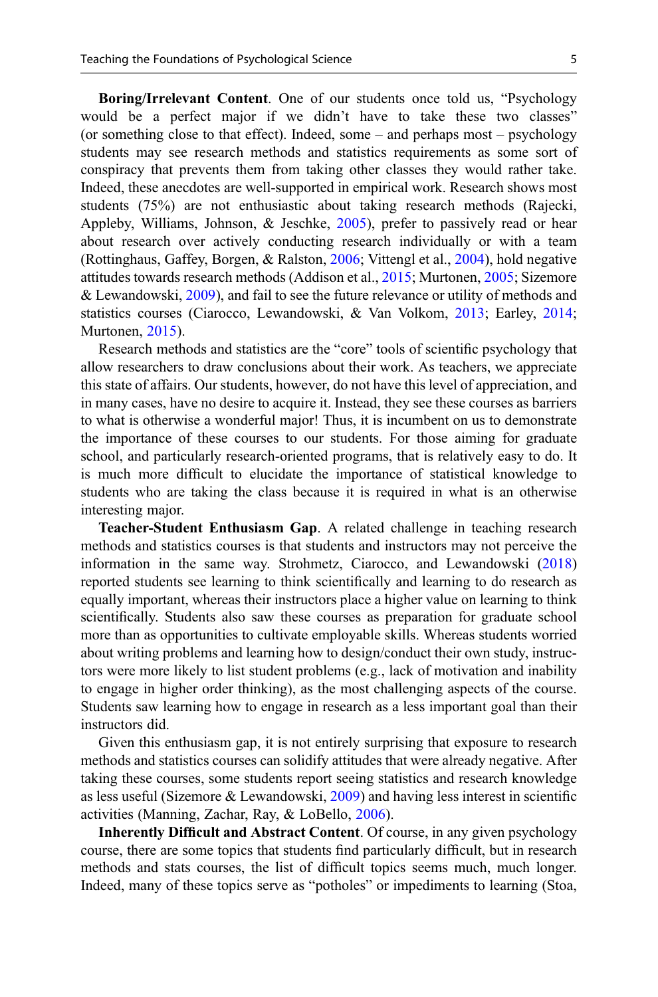Boring/Irrelevant Content. One of our students once told us, "Psychology would be a perfect major if we didn't have to take these two classes" (or something close to that effect). Indeed, some – and perhaps most – psychology students may see research methods and statistics requirements as some sort of conspiracy that prevents them from taking other classes they would rather take. Indeed, these anecdotes are well-supported in empirical work. Research shows most students (75%) are not enthusiastic about taking research methods (Rajecki, Appleby, Williams, Johnson, & Jeschke, [2005\)](#page-14-0), prefer to passively read or hear about research over actively conducting research individually or with a team (Rottinghaus, Gaffey, Borgen, & Ralston, [2006;](#page-14-0) Vittengl et al., [2004\)](#page-14-0), hold negative attitudes towards research methods (Addison et al., [2015](#page-12-0); Murtonen, [2005;](#page-13-0) Sizemore & Lewandowski, [2009](#page-14-0)), and fail to see the future relevance or utility of methods and statistics courses (Ciarocco, Lewandowski, & Van Volkom, [2013;](#page-12-0) Earley, [2014;](#page-13-0) Murtonen, [2015](#page-13-0)).

Research methods and statistics are the "core" tools of scientific psychology that allow researchers to draw conclusions about their work. As teachers, we appreciate this state of affairs. Our students, however, do not have this level of appreciation, and in many cases, have no desire to acquire it. Instead, they see these courses as barriers to what is otherwise a wonderful major! Thus, it is incumbent on us to demonstrate the importance of these courses to our students. For those aiming for graduate school, and particularly research-oriented programs, that is relatively easy to do. It is much more difficult to elucidate the importance of statistical knowledge to students who are taking the class because it is required in what is an otherwise interesting major.

Teacher-Student Enthusiasm Gap. A related challenge in teaching research methods and statistics courses is that students and instructors may not perceive the information in the same way. Strohmetz, Ciarocco, and Lewandowski [\(2018](#page-14-0)) reported students see learning to think scientifically and learning to do research as equally important, whereas their instructors place a higher value on learning to think scientifically. Students also saw these courses as preparation for graduate school more than as opportunities to cultivate employable skills. Whereas students worried about writing problems and learning how to design/conduct their own study, instructors were more likely to list student problems (e.g., lack of motivation and inability to engage in higher order thinking), as the most challenging aspects of the course. Students saw learning how to engage in research as a less important goal than their instructors did.

Given this enthusiasm gap, it is not entirely surprising that exposure to research methods and statistics courses can solidify attitudes that were already negative. After taking these courses, some students report seeing statistics and research knowledge as less useful (Sizemore  $&$  Lewandowski, [2009\)](#page-14-0) and having less interest in scientific activities (Manning, Zachar, Ray, & LoBello, [2006\)](#page-13-0).

Inherently Difficult and Abstract Content. Of course, in any given psychology course, there are some topics that students find particularly difficult, but in research methods and stats courses, the list of difficult topics seems much, much longer. Indeed, many of these topics serve as "potholes" or impediments to learning (Stoa,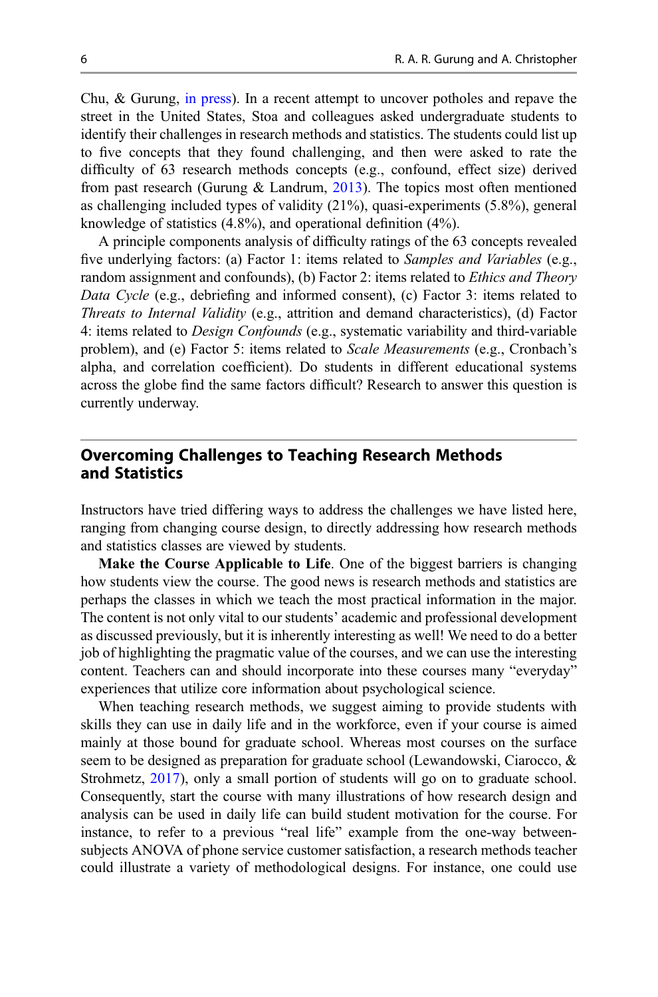Chu, & Gurung, [in press\)](#page-14-0). In a recent attempt to uncover potholes and repave the street in the United States, Stoa and colleagues asked undergraduate students to identify their challenges in research methods and statistics. The students could list up to five concepts that they found challenging, and then were asked to rate the difficulty of 63 research methods concepts (e.g., confound, effect size) derived from past research (Gurung  $&$  Landrum, [2013](#page-13-0)). The topics most often mentioned as challenging included types of validity (21%), quasi-experiments (5.8%), general knowledge of statistics (4.8%), and operational definition (4%).

A principle components analysis of difficulty ratings of the 63 concepts revealed five underlying factors: (a) Factor 1: items related to Samples and Variables (e.g., random assignment and confounds), (b) Factor 2: items related to *Ethics and Theory* Data Cycle (e.g., debriefing and informed consent), (c) Factor 3: items related to Threats to Internal Validity (e.g., attrition and demand characteristics), (d) Factor 4: items related to Design Confounds (e.g., systematic variability and third-variable problem), and (e) Factor 5: items related to Scale Measurements (e.g., Cronbach's alpha, and correlation coefficient). Do students in different educational systems across the globe find the same factors difficult? Research to answer this question is currently underway.

# Overcoming Challenges to Teaching Research Methods and Statistics

Instructors have tried differing ways to address the challenges we have listed here, ranging from changing course design, to directly addressing how research methods and statistics classes are viewed by students.

Make the Course Applicable to Life. One of the biggest barriers is changing how students view the course. The good news is research methods and statistics are perhaps the classes in which we teach the most practical information in the major. The content is not only vital to our students' academic and professional development as discussed previously, but it is inherently interesting as well! We need to do a better job of highlighting the pragmatic value of the courses, and we can use the interesting content. Teachers can and should incorporate into these courses many "everyday" experiences that utilize core information about psychological science.

When teaching research methods, we suggest aiming to provide students with skills they can use in daily life and in the workforce, even if your course is aimed mainly at those bound for graduate school. Whereas most courses on the surface seem to be designed as preparation for graduate school (Lewandowski, Ciarocco, & Strohmetz, [2017](#page-13-0)), only a small portion of students will go on to graduate school. Consequently, start the course with many illustrations of how research design and analysis can be used in daily life can build student motivation for the course. For instance, to refer to a previous "real life" example from the one-way betweensubjects ANOVA of phone service customer satisfaction, a research methods teacher could illustrate a variety of methodological designs. For instance, one could use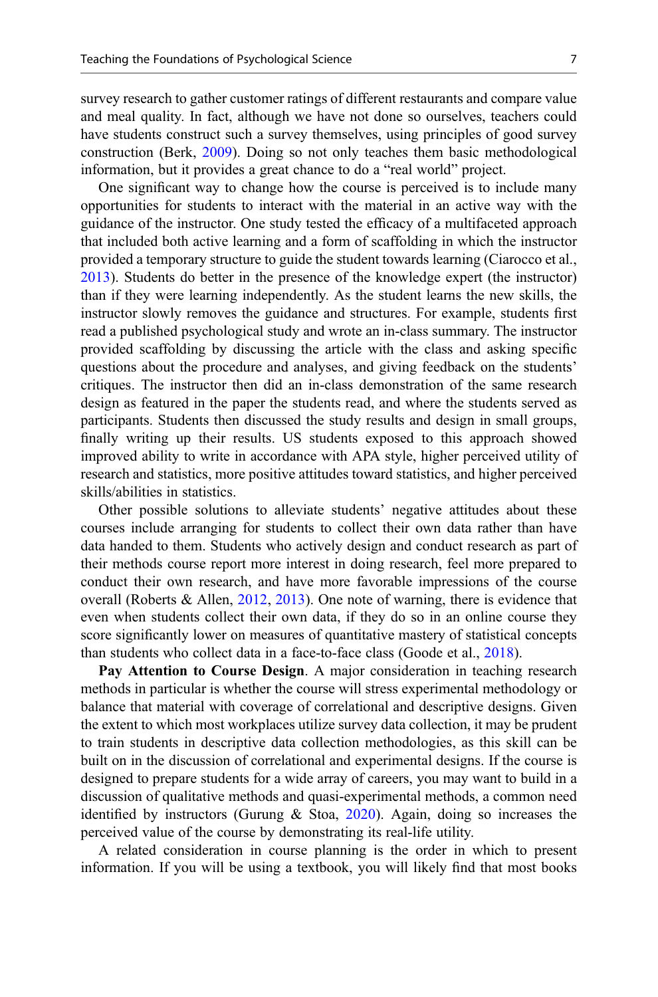survey research to gather customer ratings of different restaurants and compare value and meal quality. In fact, although we have not done so ourselves, teachers could have students construct such a survey themselves, using principles of good survey construction (Berk, [2009](#page-12-0)). Doing so not only teaches them basic methodological information, but it provides a great chance to do a "real world" project.

One significant way to change how the course is perceived is to include many opportunities for students to interact with the material in an active way with the guidance of the instructor. One study tested the efficacy of a multifaceted approach that included both active learning and a form of scaffolding in which the instructor provided a temporary structure to guide the student towards learning (Ciarocco et al., [2013\)](#page-12-0). Students do better in the presence of the knowledge expert (the instructor) than if they were learning independently. As the student learns the new skills, the instructor slowly removes the guidance and structures. For example, students first read a published psychological study and wrote an in-class summary. The instructor provided scaffolding by discussing the article with the class and asking specific questions about the procedure and analyses, and giving feedback on the students' critiques. The instructor then did an in-class demonstration of the same research design as featured in the paper the students read, and where the students served as participants. Students then discussed the study results and design in small groups, finally writing up their results. US students exposed to this approach showed improved ability to write in accordance with APA style, higher perceived utility of research and statistics, more positive attitudes toward statistics, and higher perceived skills/abilities in statistics.

Other possible solutions to alleviate students' negative attitudes about these courses include arranging for students to collect their own data rather than have data handed to them. Students who actively design and conduct research as part of their methods course report more interest in doing research, feel more prepared to conduct their own research, and have more favorable impressions of the course overall (Roberts & Allen, [2012,](#page-14-0) [2013](#page-14-0)). One note of warning, there is evidence that even when students collect their own data, if they do so in an online course they score significantly lower on measures of quantitative mastery of statistical concepts than students who collect data in a face-to-face class (Goode et al., [2018](#page-13-0)).

Pay Attention to Course Design. A major consideration in teaching research methods in particular is whether the course will stress experimental methodology or balance that material with coverage of correlational and descriptive designs. Given the extent to which most workplaces utilize survey data collection, it may be prudent to train students in descriptive data collection methodologies, as this skill can be built on in the discussion of correlational and experimental designs. If the course is designed to prepare students for a wide array of careers, you may want to build in a discussion of qualitative methods and quasi-experimental methods, a common need identified by instructors (Gurung  $\&$  Stoa, [2020\)](#page-13-0). Again, doing so increases the perceived value of the course by demonstrating its real-life utility.

A related consideration in course planning is the order in which to present information. If you will be using a textbook, you will likely find that most books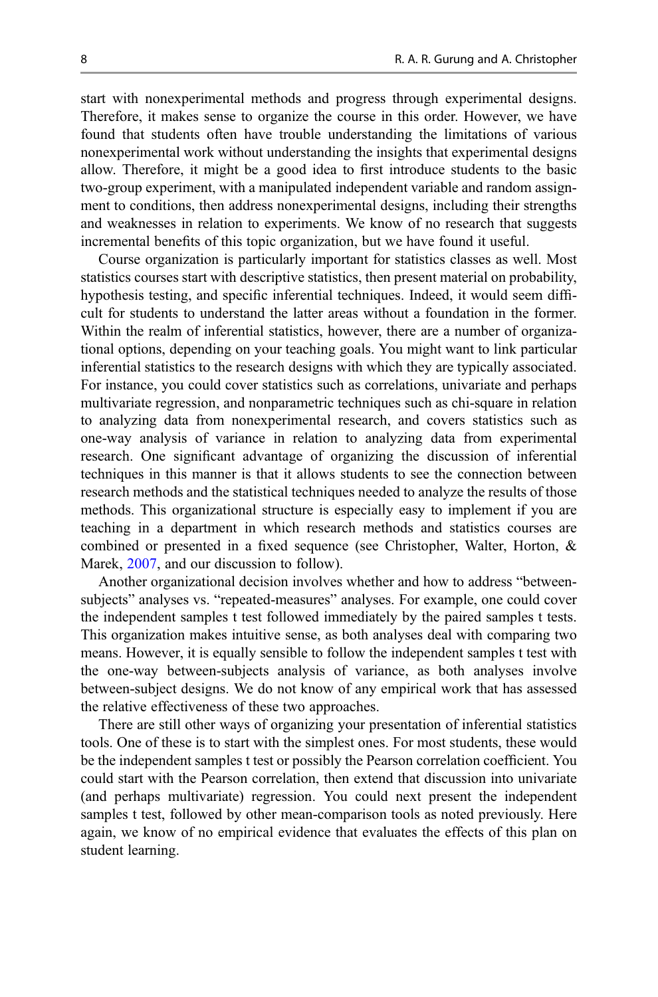start with nonexperimental methods and progress through experimental designs. Therefore, it makes sense to organize the course in this order. However, we have found that students often have trouble understanding the limitations of various nonexperimental work without understanding the insights that experimental designs allow. Therefore, it might be a good idea to first introduce students to the basic two-group experiment, with a manipulated independent variable and random assignment to conditions, then address nonexperimental designs, including their strengths and weaknesses in relation to experiments. We know of no research that suggests incremental benefits of this topic organization, but we have found it useful.

Course organization is particularly important for statistics classes as well. Most statistics courses start with descriptive statistics, then present material on probability, hypothesis testing, and specific inferential techniques. Indeed, it would seem difficult for students to understand the latter areas without a foundation in the former. Within the realm of inferential statistics, however, there are a number of organizational options, depending on your teaching goals. You might want to link particular inferential statistics to the research designs with which they are typically associated. For instance, you could cover statistics such as correlations, univariate and perhaps multivariate regression, and nonparametric techniques such as chi-square in relation to analyzing data from nonexperimental research, and covers statistics such as one-way analysis of variance in relation to analyzing data from experimental research. One significant advantage of organizing the discussion of inferential techniques in this manner is that it allows students to see the connection between research methods and the statistical techniques needed to analyze the results of those methods. This organizational structure is especially easy to implement if you are teaching in a department in which research methods and statistics courses are combined or presented in a fixed sequence (see Christopher, Walter, Horton, & Marek, [2007,](#page-12-0) and our discussion to follow).

Another organizational decision involves whether and how to address "betweensubjects" analyses vs. "repeated-measures" analyses. For example, one could cover the independent samples t test followed immediately by the paired samples t tests. This organization makes intuitive sense, as both analyses deal with comparing two means. However, it is equally sensible to follow the independent samples t test with the one-way between-subjects analysis of variance, as both analyses involve between-subject designs. We do not know of any empirical work that has assessed the relative effectiveness of these two approaches.

There are still other ways of organizing your presentation of inferential statistics tools. One of these is to start with the simplest ones. For most students, these would be the independent samples t test or possibly the Pearson correlation coefficient. You could start with the Pearson correlation, then extend that discussion into univariate (and perhaps multivariate) regression. You could next present the independent samples t test, followed by other mean-comparison tools as noted previously. Here again, we know of no empirical evidence that evaluates the effects of this plan on student learning.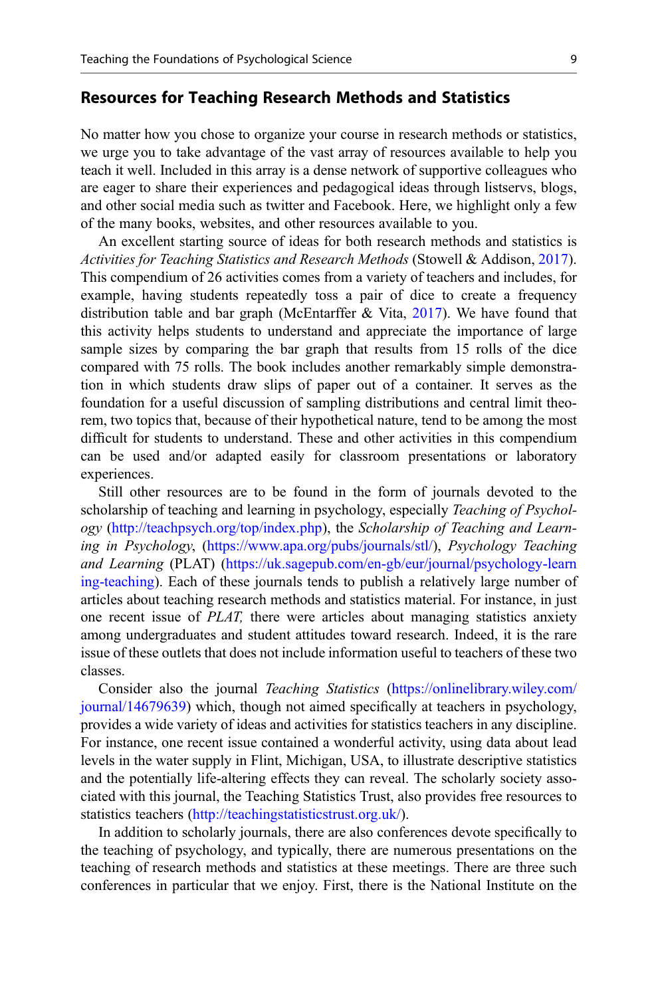#### Resources for Teaching Research Methods and Statistics

No matter how you chose to organize your course in research methods or statistics, we urge you to take advantage of the vast array of resources available to help you teach it well. Included in this array is a dense network of supportive colleagues who are eager to share their experiences and pedagogical ideas through listservs, blogs, and other social media such as twitter and Facebook. Here, we highlight only a few of the many books, websites, and other resources available to you.

An excellent starting source of ideas for both research methods and statistics is Activities for Teaching Statistics and Research Methods (Stowell & Addison, [2017\)](#page-14-0). This compendium of 26 activities comes from a variety of teachers and includes, for example, having students repeatedly toss a pair of dice to create a frequency distribution table and bar graph (McEntarffer  $& Vita, 2017$  $& Vita, 2017$ ). We have found that this activity helps students to understand and appreciate the importance of large sample sizes by comparing the bar graph that results from 15 rolls of the dice compared with 75 rolls. The book includes another remarkably simple demonstration in which students draw slips of paper out of a container. It serves as the foundation for a useful discussion of sampling distributions and central limit theorem, two topics that, because of their hypothetical nature, tend to be among the most difficult for students to understand. These and other activities in this compendium can be used and/or adapted easily for classroom presentations or laboratory experiences.

Still other resources are to be found in the form of journals devoted to the scholarship of teaching and learning in psychology, especially Teaching of Psychology (<http://teachpsych.org/top/index.php>), the Scholarship of Teaching and Learning in Psychology, [\(https://www.apa.org/pubs/journals/stl/](https://www.apa.org/pubs/journals/stl/)), Psychology Teaching and Learning (PLAT) ([https://uk.sagepub.com/en-gb/eur/journal/psychology-learn](https://uk.sagepub.com/en-gb/eur/journal/psychology-learning-teaching) [ing-teaching](https://uk.sagepub.com/en-gb/eur/journal/psychology-learning-teaching)). Each of these journals tends to publish a relatively large number of articles about teaching research methods and statistics material. For instance, in just one recent issue of PLAT, there were articles about managing statistics anxiety among undergraduates and student attitudes toward research. Indeed, it is the rare issue of these outlets that does not include information useful to teachers of these two classes.

Consider also the journal Teaching Statistics ([https://onlinelibrary.wiley.com/](https://onlinelibrary.wiley.com/journal/14679639) [journal/14679639](https://onlinelibrary.wiley.com/journal/14679639)) which, though not aimed specifically at teachers in psychology, provides a wide variety of ideas and activities for statistics teachers in any discipline. For instance, one recent issue contained a wonderful activity, using data about lead levels in the water supply in Flint, Michigan, USA, to illustrate descriptive statistics and the potentially life-altering effects they can reveal. The scholarly society associated with this journal, the Teaching Statistics Trust, also provides free resources to statistics teachers ([http://teachingstatisticstrust.org.uk/\)](http://teachingstatisticstrust.org.uk/).

In addition to scholarly journals, there are also conferences devote specifically to the teaching of psychology, and typically, there are numerous presentations on the teaching of research methods and statistics at these meetings. There are three such conferences in particular that we enjoy. First, there is the National Institute on the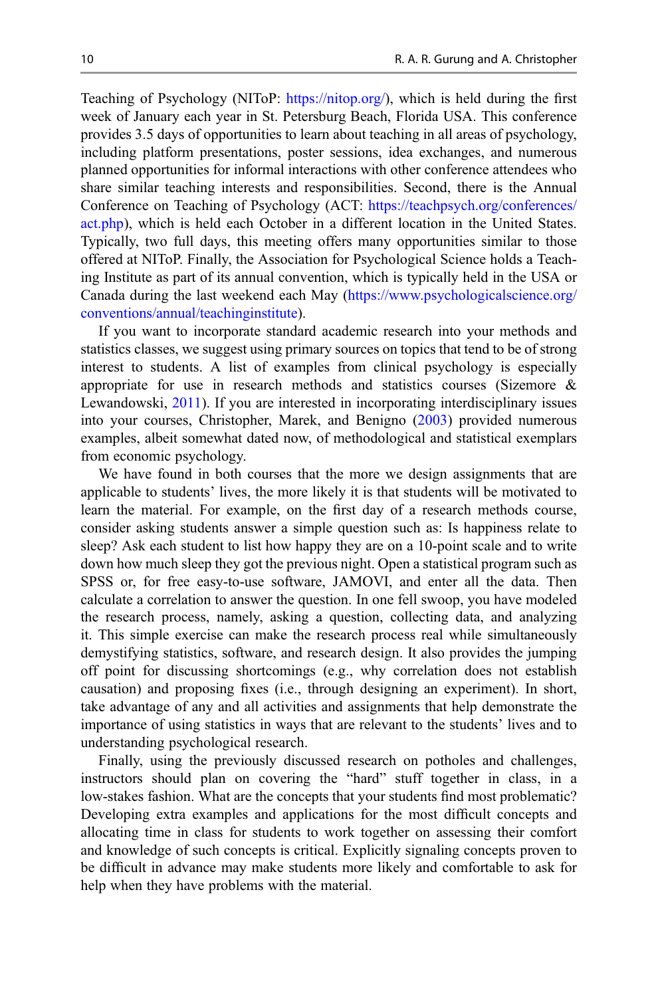Teaching of Psychology (NIToP: <https://nitop.org/>), which is held during the first week of January each year in St. Petersburg Beach, Florida USA. This conference provides 3.5 days of opportunities to learn about teaching in all areas of psychology, including platform presentations, poster sessions, idea exchanges, and numerous planned opportunities for informal interactions with other conference attendees who share similar teaching interests and responsibilities. Second, there is the Annual Conference on Teaching of Psychology (ACT: [https://teachpsych.org/conferences/](https://teachpsych.org/conferences/act.php) [act.php\)](https://teachpsych.org/conferences/act.php), which is held each October in a different location in the United States. Typically, two full days, this meeting offers many opportunities similar to those offered at NIToP. Finally, the Association for Psychological Science holds a Teaching Institute as part of its annual convention, which is typically held in the USA or Canada during the last weekend each May [\(https://www.psychologicalscience.org/](https://www.psychologicalscience.org/conventions/annual/teachinginstitute) [conventions/annual/teachinginstitute\)](https://www.psychologicalscience.org/conventions/annual/teachinginstitute).

If you want to incorporate standard academic research into your methods and statistics classes, we suggest using primary sources on topics that tend to be of strong interest to students. A list of examples from clinical psychology is especially appropriate for use in research methods and statistics courses (Sizemore & Lewandowski, [2011\)](#page-14-0). If you are interested in incorporating interdisciplinary issues into your courses, Christopher, Marek, and Benigno [\(2003](#page-12-0)) provided numerous examples, albeit somewhat dated now, of methodological and statistical exemplars from economic psychology.

We have found in both courses that the more we design assignments that are applicable to students' lives, the more likely it is that students will be motivated to learn the material. For example, on the first day of a research methods course, consider asking students answer a simple question such as: Is happiness relate to sleep? Ask each student to list how happy they are on a 10-point scale and to write down how much sleep they got the previous night. Open a statistical program such as SPSS or, for free easy-to-use software, JAMOVI, and enter all the data. Then calculate a correlation to answer the question. In one fell swoop, you have modeled the research process, namely, asking a question, collecting data, and analyzing it. This simple exercise can make the research process real while simultaneously demystifying statistics, software, and research design. It also provides the jumping off point for discussing shortcomings (e.g., why correlation does not establish causation) and proposing fixes (i.e., through designing an experiment). In short, take advantage of any and all activities and assignments that help demonstrate the importance of using statistics in ways that are relevant to the students' lives and to understanding psychological research.

Finally, using the previously discussed research on potholes and challenges, instructors should plan on covering the "hard" stuff together in class, in a low-stakes fashion. What are the concepts that your students find most problematic? Developing extra examples and applications for the most difficult concepts and allocating time in class for students to work together on assessing their comfort and knowledge of such concepts is critical. Explicitly signaling concepts proven to be difficult in advance may make students more likely and comfortable to ask for help when they have problems with the material.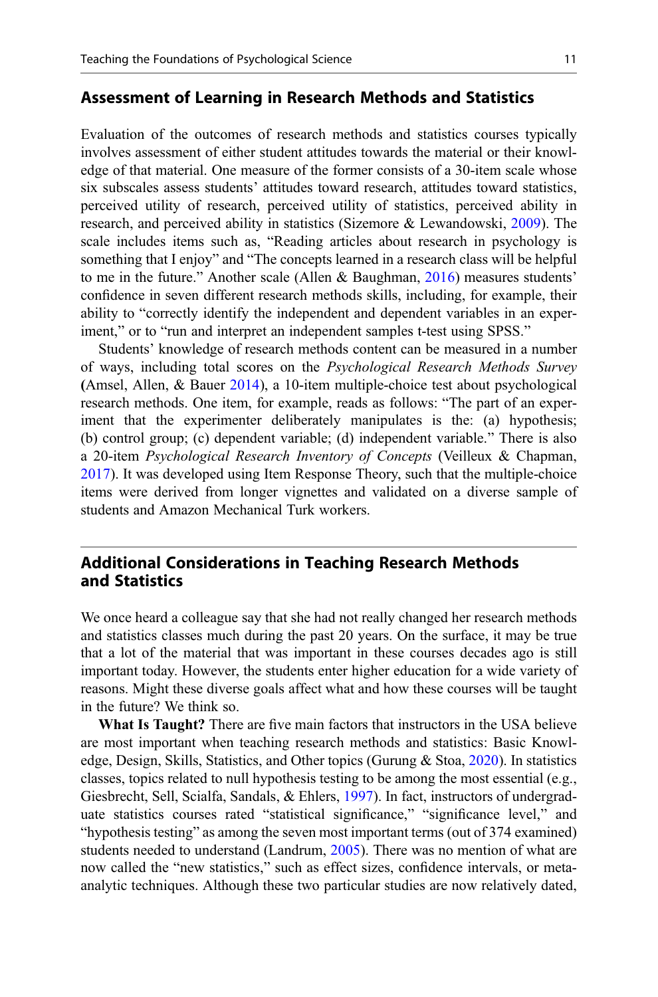#### Assessment of Learning in Research Methods and Statistics

Evaluation of the outcomes of research methods and statistics courses typically involves assessment of either student attitudes towards the material or their knowledge of that material. One measure of the former consists of a 30-item scale whose six subscales assess students' attitudes toward research, attitudes toward statistics, perceived utility of research, perceived utility of statistics, perceived ability in research, and perceived ability in statistics (Sizemore & Lewandowski, [2009](#page-14-0)). The scale includes items such as, "Reading articles about research in psychology is something that I enjoy" and "The concepts learned in a research class will be helpful to me in the future." Another scale (Allen & Baughman, [2016\)](#page-12-0) measures students' confidence in seven different research methods skills, including, for example, their ability to "correctly identify the independent and dependent variables in an experiment," or to "run and interpret an independent samples t-test using SPSS."

Students' knowledge of research methods content can be measured in a number of ways, including total scores on the Psychological Research Methods Survey (Amsel, Allen, & Bauer [2014\)](#page-12-0), a 10-item multiple-choice test about psychological research methods. One item, for example, reads as follows: "The part of an experiment that the experimenter deliberately manipulates is the: (a) hypothesis; (b) control group; (c) dependent variable; (d) independent variable." There is also a 20-item Psychological Research Inventory of Concepts (Veilleux & Chapman, [2017\)](#page-14-0). It was developed using Item Response Theory, such that the multiple-choice items were derived from longer vignettes and validated on a diverse sample of students and Amazon Mechanical Turk workers.

# Additional Considerations in Teaching Research Methods and Statistics

We once heard a colleague say that she had not really changed her research methods and statistics classes much during the past 20 years. On the surface, it may be true that a lot of the material that was important in these courses decades ago is still important today. However, the students enter higher education for a wide variety of reasons. Might these diverse goals affect what and how these courses will be taught in the future? We think so.

What Is Taught? There are five main factors that instructors in the USA believe are most important when teaching research methods and statistics: Basic Knowledge, Design, Skills, Statistics, and Other topics (Gurung & Stoa, [2020](#page-13-0)). In statistics classes, topics related to null hypothesis testing to be among the most essential (e.g., Giesbrecht, Sell, Scialfa, Sandals, & Ehlers, [1997](#page-13-0)). In fact, instructors of undergraduate statistics courses rated "statistical significance," "significance level," and "hypothesis testing" as among the seven most important terms (out of 374 examined) students needed to understand (Landrum, [2005\)](#page-13-0). There was no mention of what are now called the "new statistics," such as effect sizes, confidence intervals, or metaanalytic techniques. Although these two particular studies are now relatively dated,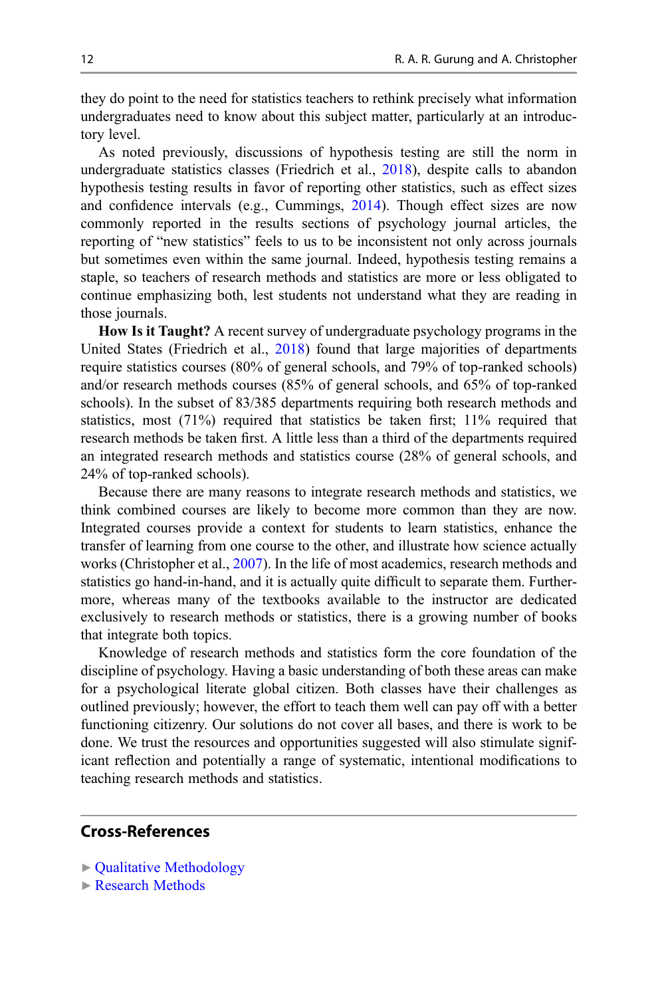they do point to the need for statistics teachers to rethink precisely what information undergraduates need to know about this subject matter, particularly at an introductory level.

As noted previously, discussions of hypothesis testing are still the norm in undergraduate statistics classes (Friedrich et al., [2018](#page-13-0)), despite calls to abandon hypothesis testing results in favor of reporting other statistics, such as effect sizes and confidence intervals (e.g., Cummings, [2014\)](#page-12-0). Though effect sizes are now commonly reported in the results sections of psychology journal articles, the reporting of "new statistics" feels to us to be inconsistent not only across journals but sometimes even within the same journal. Indeed, hypothesis testing remains a staple, so teachers of research methods and statistics are more or less obligated to continue emphasizing both, lest students not understand what they are reading in those journals.

How Is it Taught? A recent survey of undergraduate psychology programs in the United States (Friedrich et al., [2018\)](#page-13-0) found that large majorities of departments require statistics courses (80% of general schools, and 79% of top-ranked schools) and/or research methods courses (85% of general schools, and 65% of top-ranked schools). In the subset of 83/385 departments requiring both research methods and statistics, most  $(71\%)$  required that statistics be taken first;  $11\%$  required that research methods be taken first. A little less than a third of the departments required an integrated research methods and statistics course (28% of general schools, and 24% of top-ranked schools).

Because there are many reasons to integrate research methods and statistics, we think combined courses are likely to become more common than they are now. Integrated courses provide a context for students to learn statistics, enhance the transfer of learning from one course to the other, and illustrate how science actually works (Christopher et al., [2007\)](#page-12-0). In the life of most academics, research methods and statistics go hand-in-hand, and it is actually quite difficult to separate them. Furthermore, whereas many of the textbooks available to the instructor are dedicated exclusively to research methods or statistics, there is a growing number of books that integrate both topics.

Knowledge of research methods and statistics form the core foundation of the discipline of psychology. Having a basic understanding of both these areas can make for a psychological literate global citizen. Both classes have their challenges as outlined previously; however, the effort to teach them well can pay off with a better functioning citizenry. Our solutions do not cover all bases, and there is work to be done. We trust the resources and opportunities suggested will also stimulate significant reflection and potentially a range of systematic, intentional modifications to teaching research methods and statistics.

## Cross-References

- ▶ [Qualitative Methodology](http://link.springer.com/search?facet-eisbn=978-3-030-26248-8&facet-content-type=ReferenceWorkEntry&query=Qualitative Methodology)
- ▶ [Research Methods](http://link.springer.com/search?facet-eisbn=978-3-030-26248-8&facet-content-type=ReferenceWorkEntry&query=Research Methods)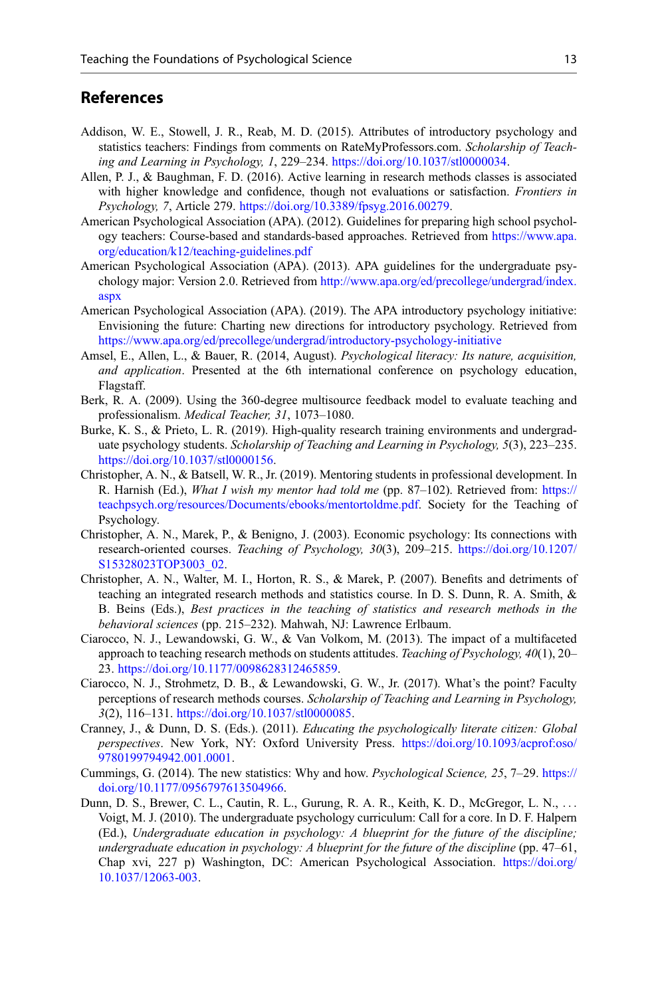## <span id="page-12-0"></span>References

- Addison, W. E., Stowell, J. R., Reab, M. D. (2015). Attributes of introductory psychology and statistics teachers: Findings from comments on RateMyProfessors.com. Scholarship of Teaching and Learning in Psychology, 1, 229–234. [https://doi.org/10.1037/stl0000034.](https://doi.org/10.1037/stl0000034)
- Allen, P. J., & Baughman, F. D. (2016). Active learning in research methods classes is associated with higher knowledge and confidence, though not evaluations or satisfaction. *Frontiers in* Psychology, 7, Article 279. <https://doi.org/10.3389/fpsyg.2016.00279>.
- American Psychological Association (APA). (2012). Guidelines for preparing high school psychology teachers: Course-based and standards-based approaches. Retrieved from [https://www.apa.](https://www.apa.org/education/k12/teaching-guidelines.pdf) [org/education/k12/teaching-guidelines.pdf](https://www.apa.org/education/k12/teaching-guidelines.pdf)
- American Psychological Association (APA). (2013). APA guidelines for the undergraduate psychology major: Version 2.0. Retrieved from [http://www.apa.org/ed/precollege/undergrad/index.](http://www.apa.org/ed/precollege/undergrad/index.aspx) [aspx](http://www.apa.org/ed/precollege/undergrad/index.aspx)
- American Psychological Association (APA). (2019). The APA introductory psychology initiative: Envisioning the future: Charting new directions for introductory psychology. Retrieved from <https://www.apa.org/ed/precollege/undergrad/introductory-psychology-initiative>
- Amsel, E., Allen, L., & Bauer, R. (2014, August). Psychological literacy: Its nature, acquisition, and application. Presented at the 6th international conference on psychology education, Flagstaff.
- Berk, R. A. (2009). Using the 360-degree multisource feedback model to evaluate teaching and professionalism. Medical Teacher, 31, 1073–1080.
- Burke, K. S., & Prieto, L. R. (2019). High-quality research training environments and undergraduate psychology students. Scholarship of Teaching and Learning in Psychology, 5(3), 223-235. [https://doi.org/10.1037/stl0000156.](https://doi.org/10.1037/stl0000156)
- Christopher, A. N., & Batsell, W. R., Jr. (2019). Mentoring students in professional development. In R. Harnish (Ed.), What I wish my mentor had told me (pp. 87-102). Retrieved from: [https://](https://teachpsych.org/resources/Documents/ebooks/mentortoldme.pdf) [teachpsych.org/resources/Documents/ebooks/mentortoldme.pdf.](https://teachpsych.org/resources/Documents/ebooks/mentortoldme.pdf) Society for the Teaching of Psychology.
- Christopher, A. N., Marek, P., & Benigno, J. (2003). Economic psychology: Its connections with research-oriented courses. Teaching of Psychology, 30(3), 209–215. [https://doi.org/10.1207/](https://doi.org/10.1207/S15328023TOP3003_02) [S15328023TOP3003\\_02.](https://doi.org/10.1207/S15328023TOP3003_02)
- Christopher, A. N., Walter, M. I., Horton, R. S., & Marek, P. (2007). Benefits and detriments of teaching an integrated research methods and statistics course. In D. S. Dunn, R. A. Smith, & B. Beins (Eds.), Best practices in the teaching of statistics and research methods in the behavioral sciences (pp. 215–232). Mahwah, NJ: Lawrence Erlbaum.
- Ciarocco, N. J., Lewandowski, G. W., & Van Volkom, M. (2013). The impact of a multifaceted approach to teaching research methods on students attitudes. Teaching of Psychology,  $40(1)$ , 20– 23. [https://doi.org/10.1177/0098628312465859.](https://doi.org/10.1177/0098628312465859)
- Ciarocco, N. J., Strohmetz, D. B., & Lewandowski, G. W., Jr. (2017). What's the point? Faculty perceptions of research methods courses. Scholarship of Teaching and Learning in Psychology, 3(2), 116–131. [https://doi.org/10.1037/stl0000085.](https://doi.org/10.1037/stl0000085)
- Cranney, J., & Dunn, D. S. (Eds.). (2011). Educating the psychologically literate citizen: Global perspectives. New York, NY: Oxford University Press. [https://doi.org/10.1093/acprof:oso/](https://doi.org/10.1093/acprof:oso/9780199794942.001.0001) [9780199794942.001.0001.](https://doi.org/10.1093/acprof:oso/9780199794942.001.0001)
- Cummings, G. (2014). The new statistics: Why and how. Psychological Science, 25, 7–29. [https://](https://doi.org/10.1177/0956797613504966) [doi.org/10.1177/0956797613504966](https://doi.org/10.1177/0956797613504966).
- Dunn, D. S., Brewer, C. L., Cautin, R. L., Gurung, R. A. R., Keith, K. D., McGregor, L. N., ... Voigt, M. J. (2010). The undergraduate psychology curriculum: Call for a core. In D. F. Halpern (Ed.), Undergraduate education in psychology: A blueprint for the future of the discipline; undergraduate education in psychology: A blueprint for the future of the discipline (pp. 47–61, Chap xvi, 227 p) Washington, DC: American Psychological Association. [https://doi.org/](https://doi.org/10.1037/12063-003) [10.1037/12063-003](https://doi.org/10.1037/12063-003).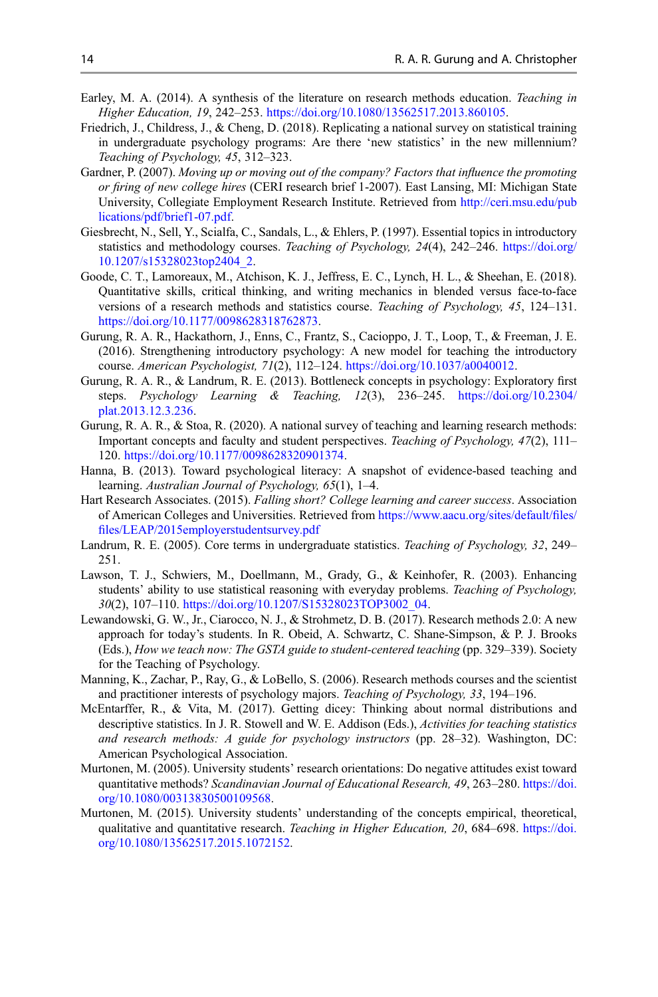- <span id="page-13-0"></span>Earley, M. A. (2014). A synthesis of the literature on research methods education. Teaching in Higher Education, 19, 242–253. [https://doi.org/10.1080/13562517.2013.860105.](https://doi.org/10.1080/13562517.2013.860105)
- Friedrich, J., Childress, J., & Cheng, D. (2018). Replicating a national survey on statistical training in undergraduate psychology programs: Are there 'new statistics' in the new millennium? Teaching of Psychology, 45, 312–323.
- Gardner, P. (2007). Moving up or moving out of the company? Factors that influence the promoting or firing of new college hires (CERI research brief 1-2007). East Lansing, MI: Michigan State University, Collegiate Employment Research Institute. Retrieved from [http://ceri.msu.edu/pub](http://ceri.msu.edu/publications/pdf/brief1-07.pdf) [lications/pdf/brief1-07.pdf](http://ceri.msu.edu/publications/pdf/brief1-07.pdf).
- Giesbrecht, N., Sell, Y., Scialfa, C., Sandals, L., & Ehlers, P. (1997). Essential topics in introductory statistics and methodology courses. Teaching of Psychology, 24(4), 242–246. [https://doi.org/](https://doi.org/10.1207/s15328023top2404_2) [10.1207/s15328023top2404\\_2.](https://doi.org/10.1207/s15328023top2404_2)
- Goode, C. T., Lamoreaux, M., Atchison, K. J., Jeffress, E. C., Lynch, H. L., & Sheehan, E. (2018). Quantitative skills, critical thinking, and writing mechanics in blended versus face-to-face versions of a research methods and statistics course. Teaching of Psychology, 45, 124–131. [https://doi.org/10.1177/0098628318762873.](https://doi.org/10.1177/0098628318762873)
- Gurung, R. A. R., Hackathorn, J., Enns, C., Frantz, S., Cacioppo, J. T., Loop, T., & Freeman, J. E. (2016). Strengthening introductory psychology: A new model for teaching the introductory course. American Psychologist, 71(2), 112–124. [https://doi.org/10.1037/a0040012.](https://doi.org/10.1037/a0040012)
- Gurung, R. A. R., & Landrum, R. E. (2013). Bottleneck concepts in psychology: Exploratory first steps. Psychology Learning & Teaching, 12(3), 236–245. [https://doi.org/10.2304/](https://doi.org/10.2304/plat.2013.12.3.236) [plat.2013.12.3.236](https://doi.org/10.2304/plat.2013.12.3.236).
- Gurung, R. A. R., & Stoa, R. (2020). A national survey of teaching and learning research methods: Important concepts and faculty and student perspectives. Teaching of Psychology, 47(2), 111– 120. [https://doi.org/10.1177/0098628320901374.](https://doi.org/10.1177/0098628320901374)
- Hanna, B. (2013). Toward psychological literacy: A snapshot of evidence-based teaching and learning. Australian Journal of Psychology, 65(1), 1–4.
- Hart Research Associates. (2015). Falling short? College learning and career success. Association of American Colleges and Universities. Retrieved from [https://www.aacu.org/sites/default/](https://www.aacu.org/sites/default/files/files/LEAP/2015employerstudentsurvey.pdf)files/ fi[les/LEAP/2015employerstudentsurvey.pdf](https://www.aacu.org/sites/default/files/files/LEAP/2015employerstudentsurvey.pdf)
- Landrum, R. E. (2005). Core terms in undergraduate statistics. Teaching of Psychology, 32, 249– 251.
- Lawson, T. J., Schwiers, M., Doellmann, M., Grady, G., & Keinhofer, R. (2003). Enhancing students' ability to use statistical reasoning with everyday problems. Teaching of Psychology, 30(2), 107–110. [https://doi.org/10.1207/S15328023TOP3002\\_04.](https://doi.org/10.1207/S15328023TOP3002_04)
- Lewandowski, G. W., Jr., Ciarocco, N. J., & Strohmetz, D. B. (2017). Research methods 2.0: A new approach for today's students. In R. Obeid, A. Schwartz, C. Shane-Simpson, & P. J. Brooks (Eds.), How we teach now: The GSTA guide to student-centered teaching (pp. 329-339). Society for the Teaching of Psychology.
- Manning, K., Zachar, P., Ray, G., & LoBello, S. (2006). Research methods courses and the scientist and practitioner interests of psychology majors. Teaching of Psychology, 33, 194–196.
- McEntarffer, R., & Vita, M. (2017). Getting dicey: Thinking about normal distributions and descriptive statistics. In J. R. Stowell and W. E. Addison (Eds.), Activities for teaching statistics and research methods: A guide for psychology instructors (pp. 28–32). Washington, DC: American Psychological Association.
- Murtonen, M. (2005). University students' research orientations: Do negative attitudes exist toward quantitative methods? Scandinavian Journal of Educational Research, 49, 263–280. [https://doi.](https://doi.org/10.1080/00313830500109568) [org/10.1080/00313830500109568](https://doi.org/10.1080/00313830500109568).
- Murtonen, M. (2015). University students' understanding of the concepts empirical, theoretical, qualitative and quantitative research. Teaching in Higher Education, 20, 684–698. [https://doi.](https://doi.org/10.1080/13562517.2015.1072152) [org/10.1080/13562517.2015.1072152.](https://doi.org/10.1080/13562517.2015.1072152)